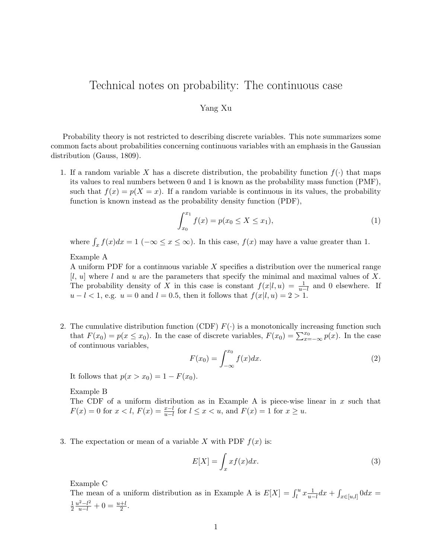## Technical notes on probability: The continuous case

## Yang Xu

Probability theory is not restricted to describing discrete variables. This note summarizes some common facts about probabilities concerning continuous variables with an emphasis in the Gaussian distribution (Gauss, 1809).

1. If a random variable X has a discrete distribution, the probability function  $f(\cdot)$  that maps its values to real numbers between 0 and 1 is known as the probability mass function (PMF), such that  $f(x) = p(X = x)$ . If a random variable is continuous in its values, the probability function is known instead as the probability density function (PDF),

$$
\int_{x_0}^{x_1} f(x) = p(x_0 \le X \le x_1),\tag{1}
$$

where  $\int_x f(x)dx = 1$  ( $-\infty \le x \le \infty$ ). In this case,  $f(x)$  may have a value greater than 1.

Example A

A uniform PDF for a continuous variable X specifies a distribution over the numerical range  $[l, u]$  where l and u are the parameters that specify the minimal and maximal values of X. The probability density of X in this case is constant  $f(x|l, u) = \frac{1}{u-l}$  and 0 elsewhere. If  $u-l<1$ , e.g.  $u=0$  and  $l=0.5$ , then it follows that  $f(x|l, u)=2>1$ .

2. The cumulative distribution function (CDF)  $F(\cdot)$  is a monotonically increasing function such that  $F(x_0) = p(x \le x_0)$ . In the case of discrete variables,  $F(x_0) = \sum_{x=-\infty}^{x_0} p(x)$ . In the case of continuous variables,

$$
F(x_0) = \int_{-\infty}^{x_0} f(x) dx.
$$
 (2)

It follows that  $p(x > x_0) = 1 - F(x_0)$ .

Example B

The CDF of a uniform distribution as in Example A is piece-wise linear in  $x$  such that  $F(x) = 0$  for  $x < l$ ,  $F(x) = \frac{x-l}{u-l}$  for  $l \le x < u$ , and  $F(x) = 1$  for  $x \ge u$ .

3. The expectation or mean of a variable X with PDF  $f(x)$  is:

$$
E[X] = \int_{x} x f(x) dx.
$$
 (3)

Example C

The mean of a uniform distribution as in Example A is  $E[X] = \int_l^u x \frac{1}{u-l} dx + \int_{x \in [u,l]} 0 dx =$ 1 2  $\frac{u^2 - l^2}{u - l} + 0 = \frac{u + l}{2}.$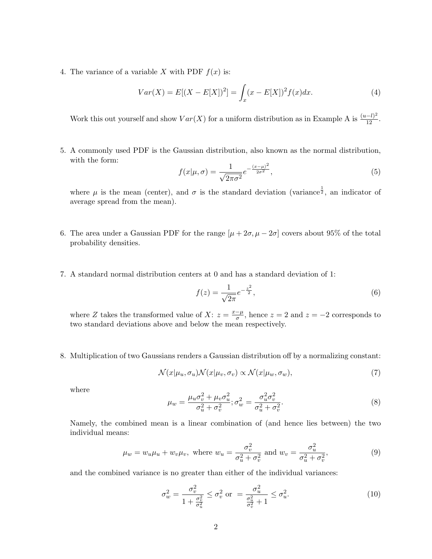4. The variance of a variable X with PDF  $f(x)$  is:

$$
Var(X) = E[(X - E[X])^{2}] = \int_{x} (x - E[X])^{2} f(x) dx.
$$
 (4)

Work this out yourself and show  $Var(X)$  for a uniform distribution as in Example A is  $\frac{(u-l)^2}{12}$ .

5. A commonly used PDF is the Gaussian distribution, also known as the normal distribution, with the form:

$$
f(x|\mu,\sigma) = \frac{1}{\sqrt{2\pi\sigma^2}} e^{-\frac{(x-\mu)^2}{2\sigma^2}},
$$
\n(5)

where  $\mu$  is the mean (center), and  $\sigma$  is the standard deviation (variance  $\frac{1}{2}$ , an indicator of average spread from the mean).

- 6. The area under a Gaussian PDF for the range  $[\mu + 2\sigma, \mu 2\sigma]$  covers about 95% of the total probability densities.
- 7. A standard normal distribution centers at 0 and has a standard deviation of 1:

$$
f(z) = \frac{1}{\sqrt{2\pi}} e^{-\frac{z^2}{2}},
$$
\n(6)

where Z takes the transformed value of X:  $z = \frac{x-\mu}{\sigma}$  $\frac{-\mu}{\sigma}$ , hence  $z = 2$  and  $z = -2$  corresponds to two standard deviations above and below the mean respectively.

8. Multiplication of two Gaussians renders a Gaussian distribution off by a normalizing constant:

$$
\mathcal{N}(x|\mu_u, \sigma_u)\mathcal{N}(x|\mu_v, \sigma_v) \propto \mathcal{N}(x|\mu_w, \sigma_w),\tag{7}
$$

where

$$
\mu_w = \frac{\mu_u \sigma_v^2 + \mu_v \sigma_u^2}{\sigma_u^2 + \sigma_v^2}; \sigma_w^2 = \frac{\sigma_u^2 \sigma_v^2}{\sigma_u^2 + \sigma_v^2}.
$$
\n(8)

Namely, the combined mean is a linear combination of (and hence lies between) the two individual means:

$$
\mu_w = w_u \mu_u + w_v \mu_v, \text{ where } w_u = \frac{\sigma_v^2}{\sigma_u^2 + \sigma_v^2} \text{ and } w_v = \frac{\sigma_u^2}{\sigma_u^2 + \sigma_v^2},\tag{9}
$$

and the combined variance is no greater than either of the individual variances:

$$
\sigma_w^2 = \frac{\sigma_v^2}{1 + \frac{\sigma_v^2}{\sigma_u^2}} \le \sigma_v^2 \text{ or } = \frac{\sigma_u^2}{\frac{\sigma_u^2}{\sigma_v^2} + 1} \le \sigma_u^2. \tag{10}
$$